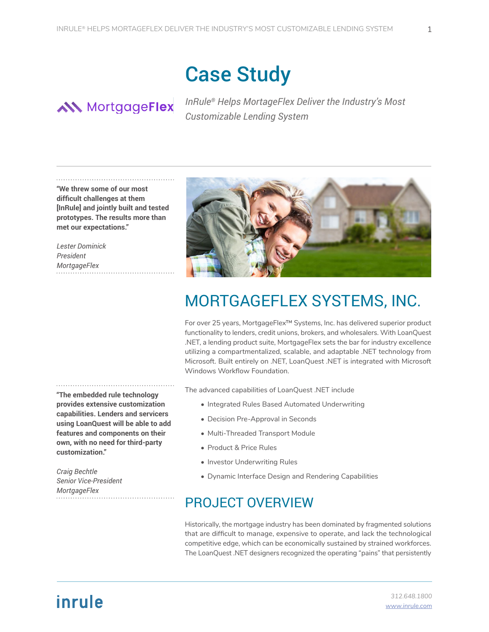# Case Study

## **AN** MortgageFlex

*InRule® Helps MortageFlex Deliver the Industry's Most Customizable Lending System*

**"We threw some of our most difficult challenges at them [InRule] and jointly built and tested prototypes. The results more than met our expectations."**

*Lester Dominick President MortgageFlex* 

**"The embedded rule technology provides extensive customization capabilities. Lenders and servicers using LoanQuest will be able to add features and components on their own, with no need for third-party customization."**

*Craig Bechtle Senior Vice-President MortgageFlex* 



For over 25 years, MortgageFlex™ Systems, Inc. has delivered superior product functionality to lenders, credit unions, brokers, and wholesalers. With LoanQuest .NET, a lending product suite, MortgageFlex sets the bar for industry excellence utilizing a compartmentalized, scalable, and adaptable .NET technology from Microsoft. Built entirely on .NET, LoanQuest .NET is integrated with Microsoft Windows Workflow Foundation.

The advanced capabilities of LoanQuest .NET include

- Integrated Rules Based Automated Underwriting
- Decision Pre-Approval in Seconds
- Multi-Threaded Transport Module
- Product & Price Rules
- Investor Underwriting Rules
- Dynamic Interface Design and Rendering Capabilities

### PROJECT OVERVIEW

Historically, the mortgage industry has been dominated by fragmented solutions that are difficult to manage, expensive to operate, and lack the technological competitive edge, which can be economically sustained by strained workforces. The LoanQuest .NET designers recognized the operating "pains" that persistently

## inrule